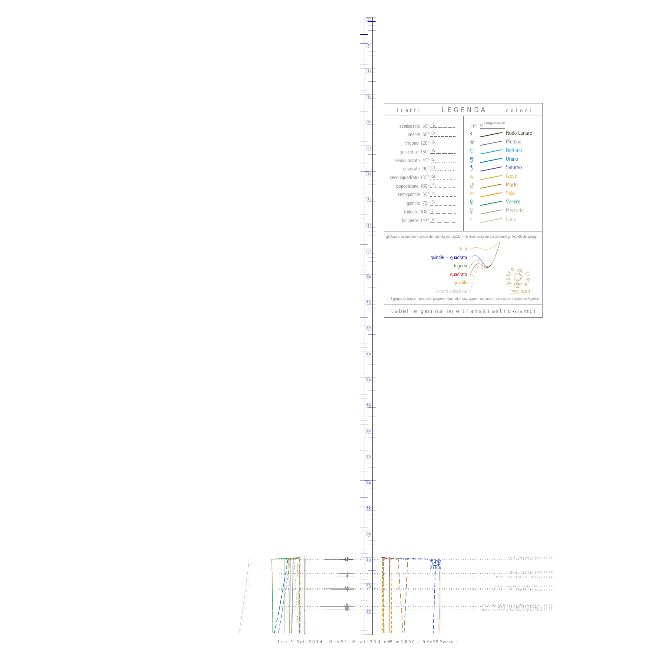$\bigg\vert \bigg\vert$ 11